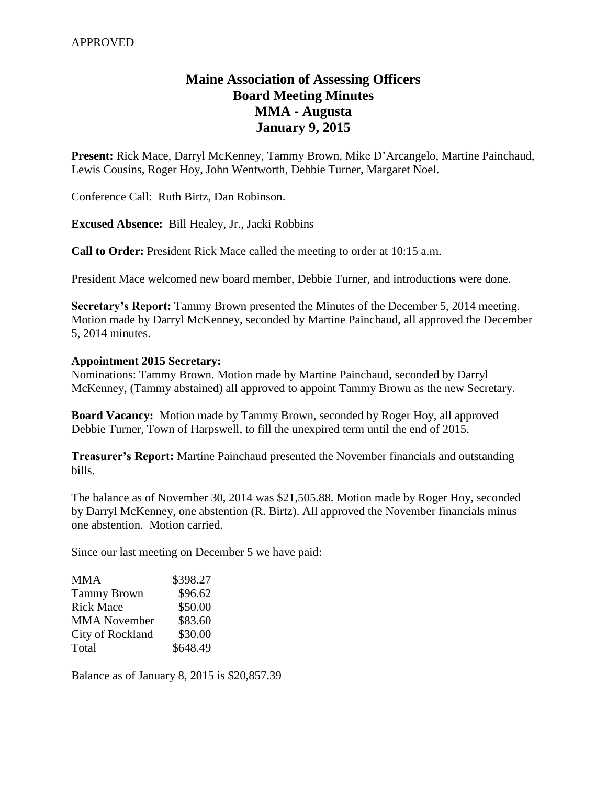# **Maine Association of Assessing Officers Board Meeting Minutes MMA - Augusta January 9, 2015**

**Present:** Rick Mace, Darryl McKenney, Tammy Brown, Mike D'Arcangelo, Martine Painchaud, Lewis Cousins, Roger Hoy, John Wentworth, Debbie Turner, Margaret Noel.

Conference Call: Ruth Birtz, Dan Robinson.

**Excused Absence:** Bill Healey, Jr., Jacki Robbins

**Call to Order:** President Rick Mace called the meeting to order at 10:15 a.m.

President Mace welcomed new board member, Debbie Turner, and introductions were done.

**Secretary's Report:** Tammy Brown presented the Minutes of the December 5, 2014 meeting. Motion made by Darryl McKenney, seconded by Martine Painchaud, all approved the December 5, 2014 minutes.

#### **Appointment 2015 Secretary:**

Nominations: Tammy Brown. Motion made by Martine Painchaud, seconded by Darryl McKenney, (Tammy abstained) all approved to appoint Tammy Brown as the new Secretary.

**Board Vacancy:** Motion made by Tammy Brown, seconded by Roger Hoy, all approved Debbie Turner, Town of Harpswell, to fill the unexpired term until the end of 2015.

**Treasurer's Report:** Martine Painchaud presented the November financials and outstanding bills.

The balance as of November 30, 2014 was \$21,505.88. Motion made by Roger Hoy, seconded by Darryl McKenney, one abstention (R. Birtz). All approved the November financials minus one abstention. Motion carried.

Since our last meeting on December 5 we have paid:

| <b>MMA</b>          | \$398.27 |
|---------------------|----------|
| <b>Tammy Brown</b>  | \$96.62  |
| <b>Rick Mace</b>    | \$50.00  |
| <b>MMA</b> November | \$83.60  |
| City of Rockland    | \$30.00  |
| Total               | \$648.49 |

Balance as of January 8, 2015 is \$20,857.39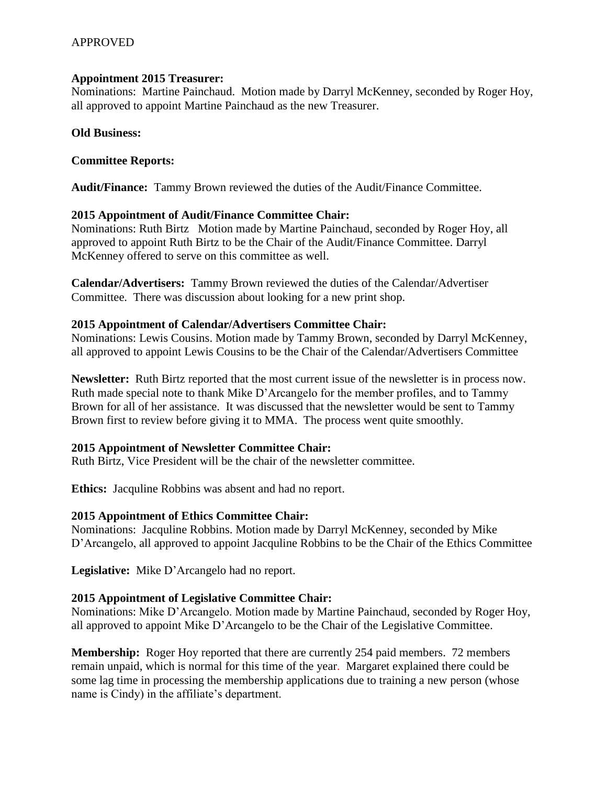# APPROVED

#### **Appointment 2015 Treasurer:**

Nominations: Martine Painchaud. Motion made by Darryl McKenney, seconded by Roger Hoy, all approved to appoint Martine Painchaud as the new Treasurer.

## **Old Business:**

## **Committee Reports:**

**Audit/Finance:** Tammy Brown reviewed the duties of the Audit/Finance Committee.

# **2015 Appointment of Audit/Finance Committee Chair:**

Nominations: Ruth Birtz Motion made by Martine Painchaud, seconded by Roger Hoy, all approved to appoint Ruth Birtz to be the Chair of the Audit/Finance Committee. Darryl McKenney offered to serve on this committee as well.

**Calendar/Advertisers:** Tammy Brown reviewed the duties of the Calendar/Advertiser Committee. There was discussion about looking for a new print shop.

# **2015 Appointment of Calendar/Advertisers Committee Chair:**

Nominations: Lewis Cousins. Motion made by Tammy Brown, seconded by Darryl McKenney, all approved to appoint Lewis Cousins to be the Chair of the Calendar/Advertisers Committee

**Newsletter:** Ruth Birtz reported that the most current issue of the newsletter is in process now. Ruth made special note to thank Mike D'Arcangelo for the member profiles, and to Tammy Brown for all of her assistance. It was discussed that the newsletter would be sent to Tammy Brown first to review before giving it to MMA. The process went quite smoothly.

#### **2015 Appointment of Newsletter Committee Chair:**

Ruth Birtz, Vice President will be the chair of the newsletter committee.

**Ethics:** Jacquline Robbins was absent and had no report.

#### **2015 Appointment of Ethics Committee Chair:**

Nominations: Jacquline Robbins. Motion made by Darryl McKenney, seconded by Mike D'Arcangelo, all approved to appoint Jacquline Robbins to be the Chair of the Ethics Committee

**Legislative:** Mike D'Arcangelo had no report.

# **2015 Appointment of Legislative Committee Chair:**

Nominations: Mike D'Arcangelo. Motion made by Martine Painchaud, seconded by Roger Hoy, all approved to appoint Mike D'Arcangelo to be the Chair of the Legislative Committee.

**Membership:** Roger Hoy reported that there are currently 254 paid members. 72 members remain unpaid, which is normal for this time of the year. Margaret explained there could be some lag time in processing the membership applications due to training a new person (whose name is Cindy) in the affiliate's department.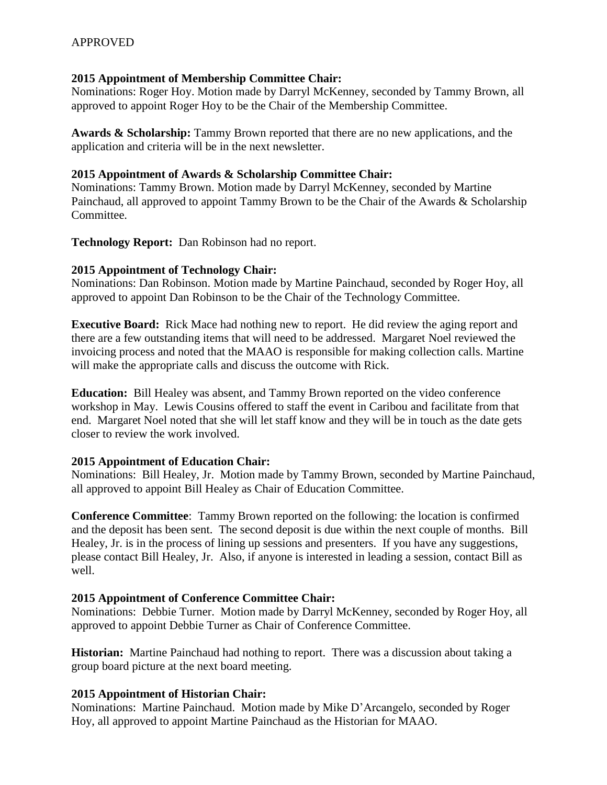# **2015 Appointment of Membership Committee Chair:**

Nominations: Roger Hoy. Motion made by Darryl McKenney, seconded by Tammy Brown, all approved to appoint Roger Hoy to be the Chair of the Membership Committee.

**Awards & Scholarship:** Tammy Brown reported that there are no new applications, and the application and criteria will be in the next newsletter.

# **2015 Appointment of Awards & Scholarship Committee Chair:**

Nominations: Tammy Brown. Motion made by Darryl McKenney, seconded by Martine Painchaud, all approved to appoint Tammy Brown to be the Chair of the Awards & Scholarship Committee.

**Technology Report:** Dan Robinson had no report.

# **2015 Appointment of Technology Chair:**

Nominations: Dan Robinson. Motion made by Martine Painchaud, seconded by Roger Hoy, all approved to appoint Dan Robinson to be the Chair of the Technology Committee.

**Executive Board:** Rick Mace had nothing new to report. He did review the aging report and there are a few outstanding items that will need to be addressed. Margaret Noel reviewed the invoicing process and noted that the MAAO is responsible for making collection calls. Martine will make the appropriate calls and discuss the outcome with Rick.

**Education:** Bill Healey was absent, and Tammy Brown reported on the video conference workshop in May. Lewis Cousins offered to staff the event in Caribou and facilitate from that end. Margaret Noel noted that she will let staff know and they will be in touch as the date gets closer to review the work involved.

# **2015 Appointment of Education Chair:**

Nominations: Bill Healey, Jr. Motion made by Tammy Brown, seconded by Martine Painchaud, all approved to appoint Bill Healey as Chair of Education Committee.

**Conference Committee**: Tammy Brown reported on the following: the location is confirmed and the deposit has been sent. The second deposit is due within the next couple of months. Bill Healey, Jr. is in the process of lining up sessions and presenters. If you have any suggestions, please contact Bill Healey, Jr. Also, if anyone is interested in leading a session, contact Bill as well.

# **2015 Appointment of Conference Committee Chair:**

Nominations: Debbie Turner. Motion made by Darryl McKenney, seconded by Roger Hoy, all approved to appoint Debbie Turner as Chair of Conference Committee.

**Historian:** Martine Painchaud had nothing to report. There was a discussion about taking a group board picture at the next board meeting.

# **2015 Appointment of Historian Chair:**

Nominations: Martine Painchaud. Motion made by Mike D'Arcangelo, seconded by Roger Hoy, all approved to appoint Martine Painchaud as the Historian for MAAO.